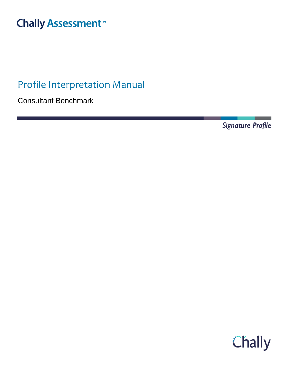# **Chally Assessment**<sup>™</sup>

# Profile Interpretation Manual

Consultant Benchmark

Signature Profile

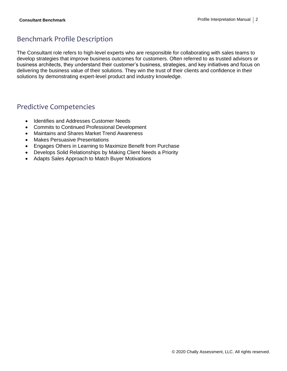# Benchmark Profile Description

The Consultant role refers to high-level experts who are responsible for collaborating with sales teams to develop strategies that improve business outcomes for customers. Often referred to as trusted advisors or business architects, they understand their customer's business, strategies, and key initiatives and focus on delivering the business value of their solutions. They win the trust of their clients and confidence in their solutions by demonstrating expert-level product and industry knowledge.

### Predictive Competencies

- Identifies and Addresses Customer Needs
- Commits to Continued Professional Development
- Maintains and Shares Market Trend Awareness
- Makes Persuasive Presentations
- Engages Others in Learning to Maximize Benefit from Purchase
- Develops Solid Relationships by Making Client Needs a Priority
- Adapts Sales Approach to Match Buyer Motivations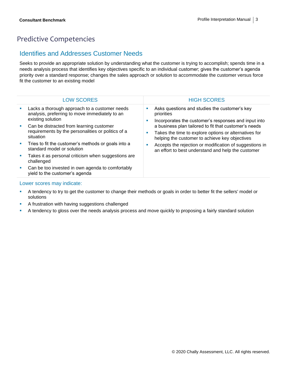# Predictive Competencies

### Identifies and Addresses Customer Needs

Seeks to provide an appropriate solution by understanding what the customer is trying to accomplish; spends time in a needs analysis process that identifies key objectives specific to an individual customer; gives the customer's agenda priority over a standard response; changes the sales approach or solution to accommodate the customer versus force fit the customer to an existing model

|                             | <b>LOW SCORES</b>                                                                                                    | <b>HIGH SCORES</b>                                                                                                                                               |
|-----------------------------|----------------------------------------------------------------------------------------------------------------------|------------------------------------------------------------------------------------------------------------------------------------------------------------------|
|                             | Lacks a thorough approach to a customer needs<br>analysis, preferring to move immediately to an<br>existing solution | Asks questions and studies the customer's key<br>priorities<br>Incorporates the customer's responses and input into                                              |
|                             | Can be distracted from learning customer<br>requirements by the personalities or politics of a<br>situation          | a business plan tailored to fit that customer's needs<br>Takes the time to explore options or alternatives for<br>helping the customer to achieve key objectives |
| $\mathcal{L}_{\mathcal{A}}$ | Tries to fit the customer's methods or goals into a<br>standard model or solution                                    | Accepts the rejection or modification of suggestions in<br>an effort to best understand and help the customer                                                    |
| <b>SIL</b>                  | Takes it as personal criticism when suggestions are<br>challenged                                                    |                                                                                                                                                                  |
| and the                     | Can be too invested in own agenda to comfortably<br>yield to the customer's agenda                                   |                                                                                                                                                                  |
|                             |                                                                                                                      |                                                                                                                                                                  |

- **•** A tendency to try to get the customer to change their methods or goals in order to better fit the sellers' model or solutions
- **EXECT** A frustration with having suggestions challenged
- **•** A tendency to gloss over the needs analysis process and move quickly to proposing a fairly standard solution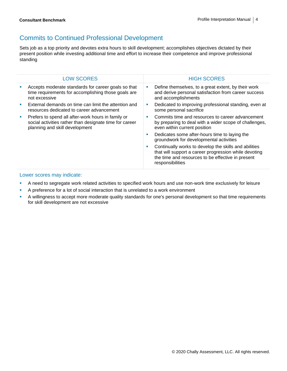# Commits to Continued Professional Development

Sets job as a top priority and devotes extra hours to skill development; accomplishes objectives dictated by their present position while investing additional time and effort to increase their competence and improve professional standing

| <b>LOW SCORES</b>                                                                                                                               |          | <b>HIGH SCORES</b>                                                                                                                                                                      |
|-------------------------------------------------------------------------------------------------------------------------------------------------|----------|-----------------------------------------------------------------------------------------------------------------------------------------------------------------------------------------|
| Accepts moderate standards for career goals so that<br>time requirements for accomplishing those goals are<br>not excessive                     | ш        | Define themselves, to a great extent, by their work<br>and derive personal satisfaction from career success<br>and accomplishments                                                      |
| External demands on time can limit the attention and<br>resources dedicated to career advancement                                               | <b>I</b> | Dedicated to improving professional standing, even at<br>some personal sacrifice                                                                                                        |
| Prefers to spend all after-work hours in family or<br>social activities rather than designate time for career<br>planning and skill development | п        | Commits time and resources to career advancement<br>by preparing to deal with a wider scope of challenges,<br>even within current position                                              |
|                                                                                                                                                 | <b>I</b> | Dedicates some after-hours time to laying the<br>groundwork for developmental activities                                                                                                |
|                                                                                                                                                 | п        | Continually works to develop the skills and abilities<br>that will support a career progression while devoting<br>the time and resources to be effective in present<br>responsibilities |

- **•** A need to segregate work related activities to specified work hours and use non-work time exclusively for leisure
- **EXECT** A preference for a lot of social interaction that is unrelated to a work environment
- A willingness to accept more moderate quality standards for one's personal development so that time requirements for skill development are not excessive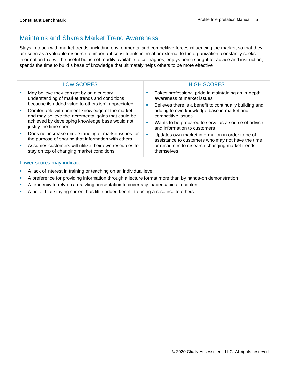# Maintains and Shares Market Trend Awareness

Stays in touch with market trends, including environmental and competitive forces influencing the market, so that they are seen as a valuable resource to important constituents internal or external to the organization; constantly seeks information that will be useful but is not readily available to colleagues; enjoys being sought for advice and instruction; spends the time to build a base of knowledge that ultimately helps others to be more effective

| <b>HIGH SCORES</b><br><b>LOW SCORES</b><br>Takes professional pride in maintaining an in-depth<br>May believe they can get by on a cursory<br>awareness of market issues<br>understanding of market trends and conditions<br>because its added value to others isn't appreciated<br>Believes there is a benefit to continually building and<br>adding to own knowledge base in market and<br>Comfortable with present knowledge of the market<br><b>COL</b><br>and may believe the incremental gains that could be<br>competitive issues<br>achieved by developing knowledge base would not<br>Wants to be prepared to serve as a source of advice<br>justify the time spent<br>and information to customers<br>Does not increase understanding of market issues for<br>ш<br>Updates own market information in order to be of<br>the purpose of sharing that information with others<br>assistance to customers who may not have the time<br>or resources to research changing market trends<br>Assumes customers will utilize their own resources to<br>stay on top of changing market conditions<br>themselves |  |  |  |
|------------------------------------------------------------------------------------------------------------------------------------------------------------------------------------------------------------------------------------------------------------------------------------------------------------------------------------------------------------------------------------------------------------------------------------------------------------------------------------------------------------------------------------------------------------------------------------------------------------------------------------------------------------------------------------------------------------------------------------------------------------------------------------------------------------------------------------------------------------------------------------------------------------------------------------------------------------------------------------------------------------------------------------------------------------------------------------------------------------------|--|--|--|
|                                                                                                                                                                                                                                                                                                                                                                                                                                                                                                                                                                                                                                                                                                                                                                                                                                                                                                                                                                                                                                                                                                                  |  |  |  |
|                                                                                                                                                                                                                                                                                                                                                                                                                                                                                                                                                                                                                                                                                                                                                                                                                                                                                                                                                                                                                                                                                                                  |  |  |  |
|                                                                                                                                                                                                                                                                                                                                                                                                                                                                                                                                                                                                                                                                                                                                                                                                                                                                                                                                                                                                                                                                                                                  |  |  |  |
|                                                                                                                                                                                                                                                                                                                                                                                                                                                                                                                                                                                                                                                                                                                                                                                                                                                                                                                                                                                                                                                                                                                  |  |  |  |
|                                                                                                                                                                                                                                                                                                                                                                                                                                                                                                                                                                                                                                                                                                                                                                                                                                                                                                                                                                                                                                                                                                                  |  |  |  |

- **EXEC** A lack of interest in training or teaching on an individual level
- **•** A preference for providing information through a lecture format more than by hands-on demonstration
- **EXECT** A tendency to rely on a dazzling presentation to cover any inadequacies in content
- **•** A belief that staying current has little added benefit to being a resource to others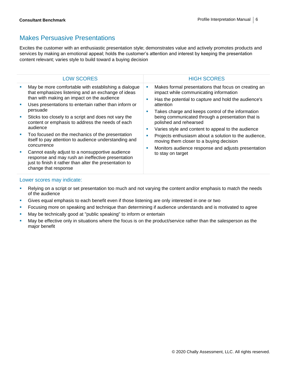### Makes Persuasive Presentations

Excites the customer with an enthusiastic presentation style; demonstrates value and actively promotes products and services by making an emotional appeal; holds the customer's attention and interest by keeping the presentation content relevant; varies style to build toward a buying decision

| <b>LOW SCORES</b>                                                                                                                                                                                                                                                                                                                                                                                                                                                                                                                                                                                                                                                             |                         | <b>HIGH SCORES</b>                                                                                                                                                                                                                                                                                                                                                                                                                                                                                                                            |
|-------------------------------------------------------------------------------------------------------------------------------------------------------------------------------------------------------------------------------------------------------------------------------------------------------------------------------------------------------------------------------------------------------------------------------------------------------------------------------------------------------------------------------------------------------------------------------------------------------------------------------------------------------------------------------|-------------------------|-----------------------------------------------------------------------------------------------------------------------------------------------------------------------------------------------------------------------------------------------------------------------------------------------------------------------------------------------------------------------------------------------------------------------------------------------------------------------------------------------------------------------------------------------|
| May be more comfortable with establishing a dialogue<br>that emphasizes listening and an exchange of ideas<br>than with making an impact on the audience<br>Uses presentations to entertain rather than inform or<br>persuade<br>Sticks too closely to a script and does not vary the<br>content or emphasis to address the needs of each<br>audience<br>Too focused on the mechanics of the presentation<br>itself to pay attention to audience understanding and<br>concurrence<br>Cannot easily adjust to a nonsupportive audience<br>response and may rush an ineffective presentation<br>just to finish it rather than alter the presentation to<br>change that response | L.<br>п<br>п<br>п<br>L. | Makes formal presentations that focus on creating an<br>impact while communicating information<br>Has the potential to capture and hold the audience's<br>attention<br>Takes charge and keeps control of the information<br>being communicated through a presentation that is<br>polished and rehearsed<br>Varies style and content to appeal to the audience<br>Projects enthusiasm about a solution to the audience,<br>moving them closer to a buying decision<br>Monitors audience response and adjusts presentation<br>to stay on target |
|                                                                                                                                                                                                                                                                                                                                                                                                                                                                                                                                                                                                                                                                               |                         |                                                                                                                                                                                                                                                                                                                                                                                                                                                                                                                                               |

- Relying on a script or set presentation too much and not varying the content and/or emphasis to match the needs of the audience
- **•** Gives equal emphasis to each benefit even if those listening are only interested in one or two
- **•** Focusing more on speaking and technique than determining if audience understands and is motivated to agree
- May be technically good at "public speaking" to inform or entertain
- May be effective only in situations where the focus is on the product/service rather than the salesperson as the major benefit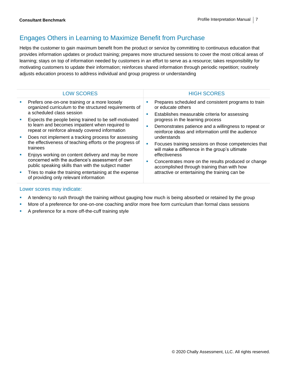# Engages Others in Learning to Maximize Benefit from Purchase

Helps the customer to gain maximum benefit from the product or service by committing to continuous education that provides information updates or product training; prepares more structured sessions to cover the most critical areas of learning; stays on top of information needed by customers in an effort to serve as a resource; takes responsibility for motivating customers to update their information; reinforces shared information through periodic repetition; routinely adjusts education process to address individual and group progress or understanding

| <b>LOW SCORES</b>                                                                                                                    |               | <b>HIGH SCORES</b>                                                                                                        |
|--------------------------------------------------------------------------------------------------------------------------------------|---------------|---------------------------------------------------------------------------------------------------------------------------|
| Prefers one-on-one training or a more loosely<br>organized curriculum to the structured requirements of<br>a scheduled class session | п<br><b>I</b> | Prepares scheduled and consistent programs to train<br>or educate others<br>Establishes measurable criteria for assessing |
| Expects the people being trained to be self-motivated                                                                                |               | progress in the learning process                                                                                          |
| to learn and becomes impatient when required to<br>repeat or reinforce already covered information                                   |               | Demonstrates patience and a willingness to repeat or<br>reinforce ideas and information until the audience                |
| Does not implement a tracking process for assessing                                                                                  |               | understands                                                                                                               |
| the effectiveness of teaching efforts or the progress of<br>trainees                                                                 | ×             | Focuses training sessions on those competencies that<br>will make a difference in the group's ultimate                    |
| Enjoys working on content delivery and may be more                                                                                   |               | effectiveness                                                                                                             |
| concerned with the audience's assessment of own<br>public speaking skills than with the subject matter                               | ×             | Concentrates more on the results produced or change<br>accomplished through training than with how                        |
| Tries to make the training entertaining at the expense<br>of providing only relevant information                                     |               | attractive or entertaining the training can be                                                                            |

- **•** A tendency to rush through the training without gauging how much is being absorbed or retained by the group
- More of a preference for one-on-one coaching and/or more free form curriculum than formal class sessions
- **•** A preference for a more off-the-cuff training style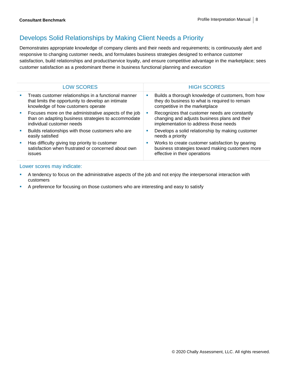# Develops Solid Relationships by Making Client Needs a Priority

Demonstrates appropriate knowledge of company clients and their needs and requirements; is continuously alert and responsive to changing customer needs, and formulates business strategies designed to enhance customer satisfaction, build relationships and product/service loyalty, and ensure competitive advantage in the marketplace; sees customer satisfaction as a predominant theme in business functional planning and execution

|   | <b>LOW SCORES</b>                                                                                                                                |            | <b>HIGH SCORES</b>                                                                                                                      |
|---|--------------------------------------------------------------------------------------------------------------------------------------------------|------------|-----------------------------------------------------------------------------------------------------------------------------------------|
| ш | Treats customer relationships in a functional manner<br>that limits the opportunity to develop an intimate<br>knowledge of how customers operate | ш          | Builds a thorough knowledge of customers, from how<br>they do business to what is required to remain<br>competitive in the marketplace  |
| ш | Focuses more on the administrative aspects of the job<br>than on adapting business strategies to accommodate<br>individual customer needs        | <b>SIL</b> | Recognizes that customer needs are constantly<br>changing and adjusts business plans and their<br>implementation to address those needs |
| × | Builds relationships with those customers who are<br>easily satisfied                                                                            | M.         | Develops a solid relationship by making customer<br>needs a priority                                                                    |
| ш | Has difficulty giving top priority to customer<br>satisfaction when frustrated or concerned about own<br><i>issues</i>                           | ш          | Works to create customer satisfaction by gearing<br>business strategies toward making customers more<br>effective in their operations   |

- **•** A tendency to focus on the administrative aspects of the job and not enjoy the interpersonal interaction with customers
- **A preference for focusing on those customers who are interesting and easy to satisfy**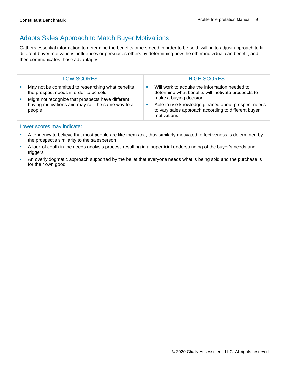# Adapts Sales Approach to Match Buyer Motivations

Gathers essential information to determine the benefits others need in order to be sold; willing to adjust approach to fit different buyer motivations; influences or persuades others by determining how the other individual can benefit, and then communicates those advantages

| <b>LOW SCORES</b>                                                                                                                                                                                                 | <b>HIGH SCORES</b>                                                                                                                                                                                                                                         |
|-------------------------------------------------------------------------------------------------------------------------------------------------------------------------------------------------------------------|------------------------------------------------------------------------------------------------------------------------------------------------------------------------------------------------------------------------------------------------------------|
| May not be committed to researching what benefits<br>the prospect needs in order to be sold<br>Might not recognize that prospects have different<br>buying motivations and may sell the same way to all<br>people | Will work to acquire the information needed to<br>determine what benefits will motivate prospects to<br>make a buying decision<br>Able to use knowledge gleaned about prospect needs<br>to vary sales approach according to different buyer<br>motivations |

- **EXECT** A tendency to believe that most people are like them and, thus similarly motivated; effectiveness is determined by the prospect's similarity to the salesperson
- A lack of depth in the needs analysis process resulting in a superficial understanding of the buyer's needs and triggers
- An overly dogmatic approach supported by the belief that everyone needs what is being sold and the purchase is for their own good